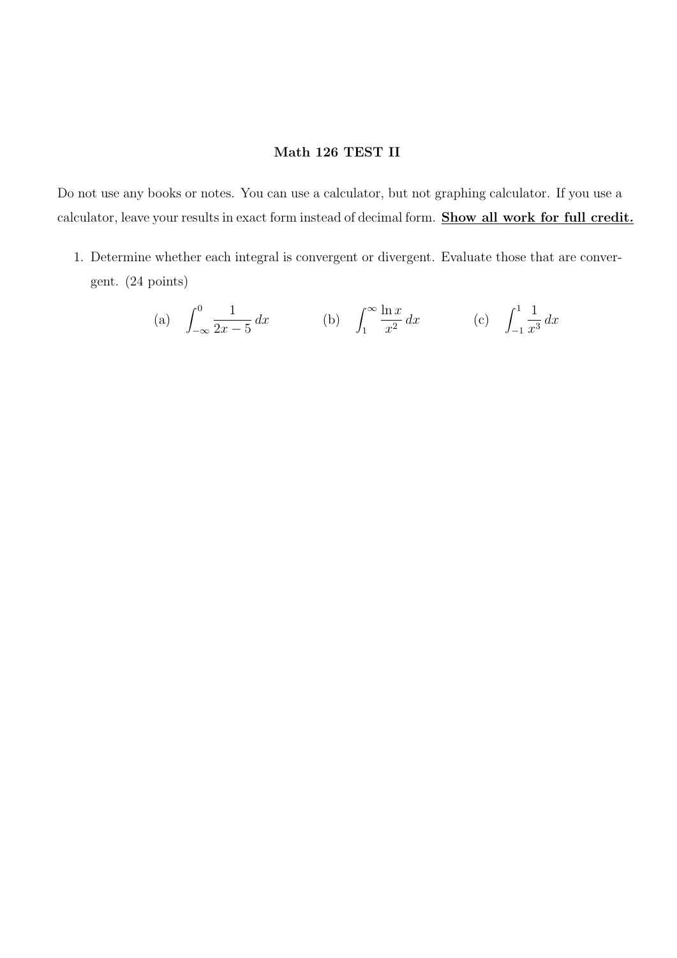## Math 126 TEST II

Do not use any books or notes. You can use a calculator, but not graphing calculator. If you use a calculator, leave your results in exact form instead of decimal form. Show all work for full credit.

1. Determine whether each integral is convergent or divergent. Evaluate those that are convergent. (24 points)

(a) 
$$
\int_{-\infty}^{0} \frac{1}{2x - 5} dx
$$
 (b)  $\int_{1}^{\infty} \frac{\ln x}{x^2} dx$  (c)  $\int_{-1}^{1} \frac{1}{x^3} dx$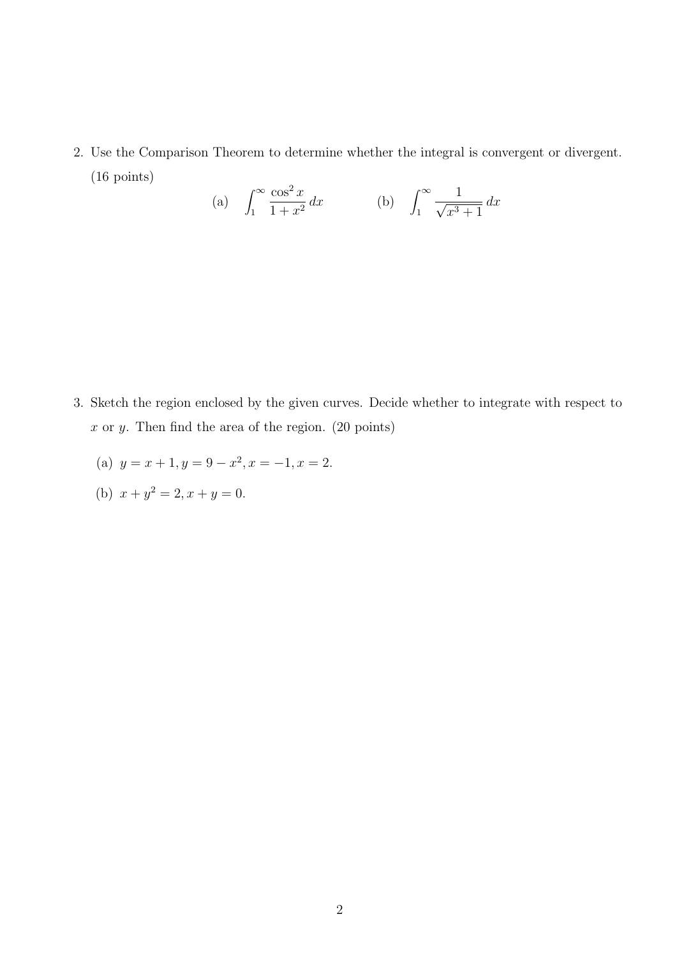2. Use the Comparison Theorem to determine whether the integral is convergent or divergent. (16 points)

(a) 
$$
\int_{1}^{\infty} \frac{\cos^2 x}{1 + x^2} dx
$$
 (b)  $\int_{1}^{\infty} \frac{1}{\sqrt{x^3 + 1}} dx$ 

- 3. Sketch the region enclosed by the given curves. Decide whether to integrate with respect to  $x$  or  $y$ . Then find the area of the region. (20 points)
	- (a)  $y = x + 1, y = 9 x^2, x = -1, x = 2.$
	- (b)  $x + y^2 = 2, x + y = 0.$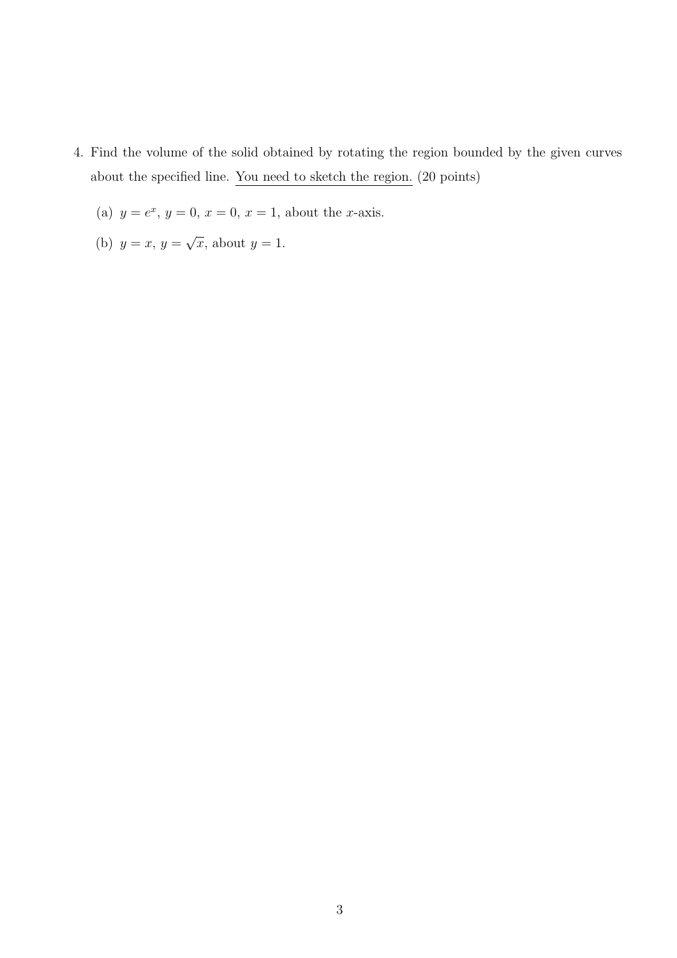- 4. Find the volume of the solid obtained by rotating the region bounded by the given curves about the specified line. You need to sketch the region. (20 points)
	- (a)  $y = e^x$ ,  $y = 0$ ,  $x = 0$ ,  $x = 1$ , about the *x*-axis.
	- (b)  $y = x, y = 0$ √  $\overline{x}$ , about  $y=1$ .